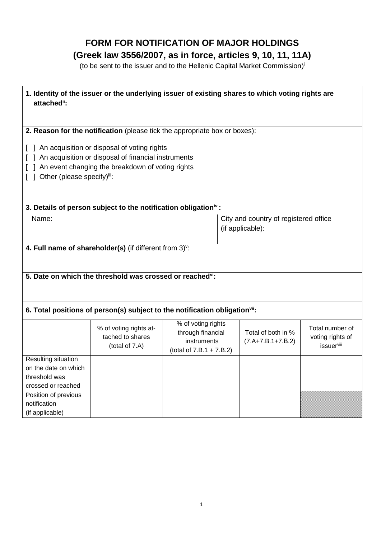# **FORM FOR NOTIFICATION OF MAJOR HOLDINGS (Greek law 3556/2007, as in force, articles 9, 10, 11, 11A)**

(to be sent to the issuer and to the Hellenic Capital Market Commission) i

| 1. Identity of the issuer or the underlying issuer of existing shares to which voting rights are<br>attached":                                                                                                                                                                     |                                                                             |                                                                                       |                                                           |                                           |                                                          |
|------------------------------------------------------------------------------------------------------------------------------------------------------------------------------------------------------------------------------------------------------------------------------------|-----------------------------------------------------------------------------|---------------------------------------------------------------------------------------|-----------------------------------------------------------|-------------------------------------------|----------------------------------------------------------|
|                                                                                                                                                                                                                                                                                    |                                                                             |                                                                                       |                                                           |                                           |                                                          |
| 2. Reason for the notification (please tick the appropriate box or boxes):<br>[ ] An acquisition or disposal of voting rights<br>[ ] An acquisition or disposal of financial instruments<br>[ ] An event changing the breakdown of voting rights<br>[ ] Other (please specify)iii: |                                                                             |                                                                                       |                                                           |                                           |                                                          |
|                                                                                                                                                                                                                                                                                    | 3. Details of person subject to the notification obligation <sup>iv</sup> : |                                                                                       |                                                           |                                           |                                                          |
| Name:                                                                                                                                                                                                                                                                              |                                                                             |                                                                                       | City and country of registered office<br>(if applicable): |                                           |                                                          |
| 4. Full name of shareholder(s) (if different from 3) <sup>v</sup> :                                                                                                                                                                                                                |                                                                             |                                                                                       |                                                           |                                           |                                                          |
| 5. Date on which the threshold was crossed or reached <sup>vi</sup> :                                                                                                                                                                                                              |                                                                             |                                                                                       |                                                           |                                           |                                                          |
| 6. Total positions of person(s) subject to the notification obligation <sup>vii</sup> :                                                                                                                                                                                            |                                                                             |                                                                                       |                                                           |                                           |                                                          |
|                                                                                                                                                                                                                                                                                    | % of voting rights at-<br>tached to shares<br>(total of 7.A)                | % of voting rights<br>through financial<br>instruments<br>(total of $7.B.1 + 7.B.2$ ) |                                                           | Total of both in %<br>$(7.A+7.B.1+7.B.2)$ | Total number of<br>voting rights of<br><i>issuervill</i> |
| <b>Resulting situation</b><br>on the date on which<br>threshold was<br>crossed or reached                                                                                                                                                                                          |                                                                             |                                                                                       |                                                           |                                           |                                                          |
| Position of previous<br>notification<br>(if applicable)                                                                                                                                                                                                                            |                                                                             |                                                                                       |                                                           |                                           |                                                          |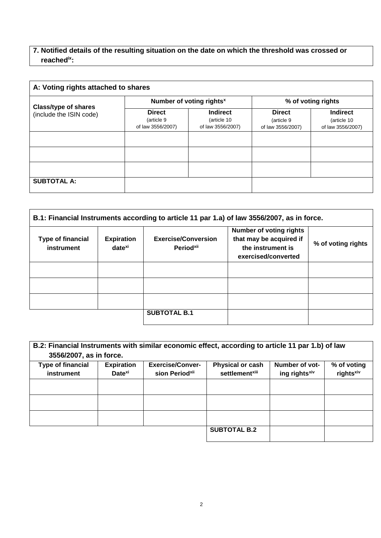## **7. Notified details of the resulting situation on the date on which the threshold was crossed or reachedix:**

| A: Voting rights attached to shares                    |                                                  |                                                     |                                                  |                                                     |
|--------------------------------------------------------|--------------------------------------------------|-----------------------------------------------------|--------------------------------------------------|-----------------------------------------------------|
| <b>Class/type of shares</b><br>(include the ISIN code) | Number of voting rights <sup>x</sup>             |                                                     | % of voting rights                               |                                                     |
|                                                        | <b>Direct</b><br>(article 9<br>of law 3556/2007) | <b>Indirect</b><br>(article 10<br>of law 3556/2007) | <b>Direct</b><br>(article 9<br>of law 3556/2007) | <b>Indirect</b><br>(article 10<br>of law 3556/2007) |
|                                                        |                                                  |                                                     |                                                  |                                                     |
|                                                        |                                                  |                                                     |                                                  |                                                     |
|                                                        |                                                  |                                                     |                                                  |                                                     |
| <b>SUBTOTAL A:</b>                                     |                                                  |                                                     |                                                  |                                                     |

| <b>Type of financial</b><br>instrument | <b>Expiration</b><br>date <sup>xi</sup> | <b>Exercise/Conversion</b><br><b>Periodxii</b> | <b>Number of voting rights</b><br>that may be acquired if<br>the instrument is<br>exercised/converted | % of voting rights |
|----------------------------------------|-----------------------------------------|------------------------------------------------|-------------------------------------------------------------------------------------------------------|--------------------|
|                                        |                                         |                                                |                                                                                                       |                    |
|                                        |                                         |                                                |                                                                                                       |                    |
|                                        |                                         |                                                |                                                                                                       |                    |
|                                        |                                         | <b>SUBTOTAL B.1</b>                            |                                                                                                       |                    |

| B.2: Financial Instruments with similar economic effect, according to article 11 par 1.b) of law<br>3556/2007, as in force. |                                         |                                                       |                                                       |                                             |                                      |
|-----------------------------------------------------------------------------------------------------------------------------|-----------------------------------------|-------------------------------------------------------|-------------------------------------------------------|---------------------------------------------|--------------------------------------|
| <b>Type of financial</b><br>instrument                                                                                      | <b>Expiration</b><br>Date <sup>xi</sup> | <b>Exercise/Conver-</b><br>sion Period <sup>xii</sup> | <b>Physical or cash</b><br>settlement <sup>xiii</sup> | Number of vot-<br>ing rights <sup>xiv</sup> | % of voting<br>rights <sup>xiv</sup> |
|                                                                                                                             |                                         |                                                       |                                                       |                                             |                                      |
|                                                                                                                             |                                         |                                                       |                                                       |                                             |                                      |
|                                                                                                                             |                                         |                                                       |                                                       |                                             |                                      |
|                                                                                                                             |                                         |                                                       | <b>SUBTOTAL B.2</b>                                   |                                             |                                      |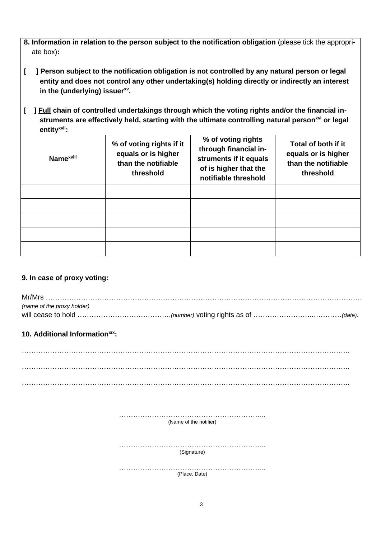- **8. Information in relation to the person subject to the notification obligation** (please tick the appropri ate box)**:**
- **[ ] Person subject to the notification obligation is not controlled by any natural person or legal entity and does not control any other undertaking(s) holding directly or indirectly an interest in the (underlying) issuerxv .**
- **[ ] Full chain of controlled undertakings through which the voting rights and/or the financial in struments are effectively held, starting with the ultimate controlling natural personxvi or legal entityxvii:**

| <b>Name</b> <sup>xviii</sup> | % of voting rights if it<br>equals or is higher<br>than the notifiable<br>threshold | % of voting rights<br>through financial in-<br>struments if it equals<br>of is higher that the<br>notifiable threshold | Total of both if it<br>equals or is higher<br>than the notifiable<br>threshold |
|------------------------------|-------------------------------------------------------------------------------------|------------------------------------------------------------------------------------------------------------------------|--------------------------------------------------------------------------------|
|                              |                                                                                     |                                                                                                                        |                                                                                |
|                              |                                                                                     |                                                                                                                        |                                                                                |
|                              |                                                                                     |                                                                                                                        |                                                                                |
|                              |                                                                                     |                                                                                                                        |                                                                                |
|                              |                                                                                     |                                                                                                                        |                                                                                |

## **9. In case of proxy voting:**

| (name of the proxy holder) |  |
|----------------------------|--|
|                            |  |

## **10. Additional Informationxix:**

………………………………………………………………………………………………………………………….. ………………………………………………………………………………………………………………………….. …………………………………………………………………………………………………………………………..

> ……………………………………………………... (Name of the notifier)

> ………………………………………………………………… (Signature)

> …………………………………………………………… (Place, Date)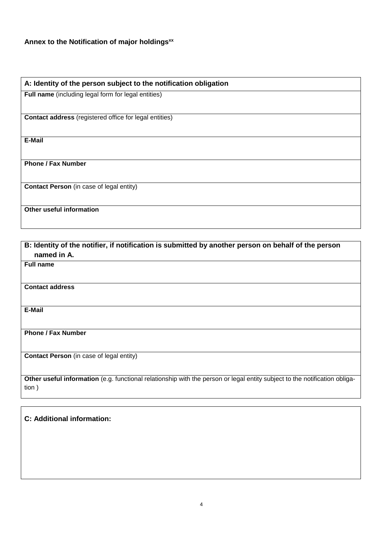## **Annex to the Notification of major holdingsxx**

#### **A: Identity of the person subject to the notification obligation**

**Full name** (including legal form for legal entities)

**Contact address** (registered office for legal entities)

**E-Mail**

**Phone / Fax Number**

**Contact Person** (in case of legal entity)

**Other useful information**

**B: Identity of the notifier, if notification is submitted by another person on behalf of the person named in A. Full name Contact address E-Mail Phone / Fax Number Contact Person** (in case of legal entity) **Other useful information** (e.g. functional relationship with the person or legal entity subject to the notification obligation )

**C: Additional information:**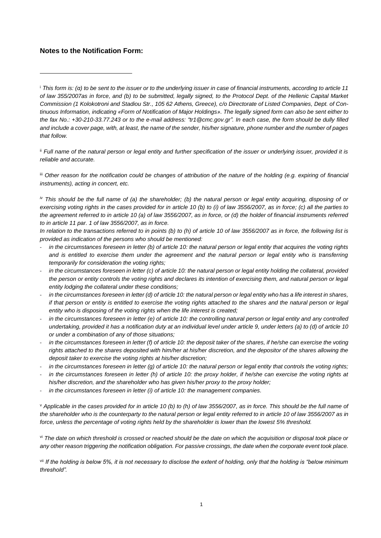#### **Notes to the Notification Form:**

 $\overline{a}$ 

ii *Full name of the natural person or legal entity and further specification of the issuer or underlying issuer, provided it is reliable and accurate.* 

iii *Other reason for the notification could be changes of attribution of the nature of the holding (e.g. expiring of financial instruments), acting in concert, etc.*

*iv This should be the full name of (a) the shareholder; (b) the natural person or legal entity acquiring, disposing of or exercising voting rights in the cases provided for in article 10 (b) to (i) of law 3556/2007, as in force; (c) all the parties to the agreement referred to in article 10 (a) of law 3556/2007, as in force, or (d) the holder of financial instruments referred to in article 11 par. 1 of law 3556/2007, as in force.*

*In relation to the transactions referred to in points (b) to (h) of article 10 of law 3556/2007 as in force, the following list is provided as indication of the persons who should be mentioned:*

- in the circumstances foreseen in letter (b) of article 10: the natural person or legal entity that acquires the voting rights and is entitled to exercise them under the agreement and the natural person or legal entity who is transferring *temporarily for consideration the voting rights;*
- *in the circumstances foreseen in letter (c) of article 10: the natural person or legal entity holding the collateral, provided the person or entity controls the voting rights and declares its intention of exercising them, and natural person or legal entity lodging the collateral under these conditions;*
- *in the circumstances foreseen in letter (d) of article 10: the natural person or legal entity who has a life interest in shares, if that person or entity is entitled to exercise the voting rights attached to the shares and the natural person or legal entity who is disposing of the voting rights when the life interest is created;*
- in the circumstances foreseen in letter (e) of article 10: the controlling natural person or legal entity and any controlled *undertaking, provided it has a notification duty at an individual level under article 9, under letters (a) to (d) of article 10 or under a combination of any of those situations;*
- *in the circumstances foreseen in letter (f) of article 10: the deposit taker of the shares, if he/she can exercise the voting rights attached to the shares deposited with him/her at his/her discretion, and the depositor of the shares allowing the deposit taker to exercise the voting rights at his/her discretion;*
- in the circumstances foreseen in letter (g) of article 10: the natural person or legal entity that controls the voting rights;
- in the circumstances foreseen in letter (h) of article 10: the proxy holder, if he/she can exercise the voting rights at *his/her discretion, and the shareholder who has given his/her proxy to the proxy holder;*
- in the circumstances foreseen in letter (i) of article 10: the management companies.

<sup>v</sup> *Applicable in the cases provided for in article 10 (b) to (h) of law 3556/2007, as in force. This should be the full name of the shareholder who is the counterparty to the natural person or legal entity referred to in article 10 of law 3556/2007 as in force, unless the percentage of voting rights held by the shareholder is lower than the lowest 5% threshold.*

vi *The date on which threshold is crossed or reached should be the date on which the acquisition or disposal took place or any other reason triggering the notification obligation. For passive crossings, the date when the corporate event took place.* 

vii *If the holding is below 5%, it is not necessary to disclose the extent of holding, only that the holding is "below minimum threshold".*

<sup>i</sup> *Τhis form is: (α) to be sent to the issuer or to the underlying issuer in case of financial instruments, according to article 11 of law 355/2007as in force, and (b) to be submitted, legally signed, to the Protocol Dept. of the Hellenic Capital Market Commission (1 Kolokotroni and Stadiou Str., 105 62 Athens, Greece), c/o Directorate of Listed Companies, Dept. of Continuous Information, indicating «Form of Notification of Major Holdings». The legally signed form can also be sent either to the fax No.: +30-210-33.77.243 or to the e-mail address: "tr1@cmc.gov.gr". In each case, the form should be dully filled and include a cover page, with, at least, the name of the sender, his/her signature, phone number and the number of pages that follow.*